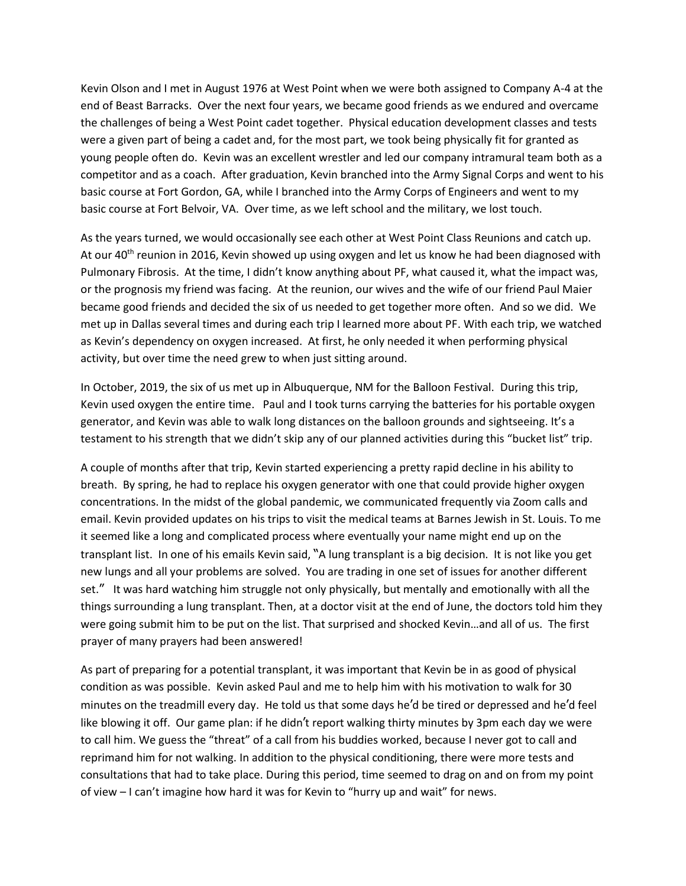Kevin Olson and I met in August 1976 at West Point when we were both assigned to Company A-4 at the end of Beast Barracks. Over the next four years, we became good friends as we endured and overcame the challenges of being a West Point cadet together. Physical education development classes and tests were a given part of being a cadet and, for the most part, we took being physically fit for granted as young people often do. Kevin was an excellent wrestler and led our company intramural team both as a competitor and as a coach. After graduation, Kevin branched into the Army Signal Corps and went to his basic course at Fort Gordon, GA, while I branched into the Army Corps of Engineers and went to my basic course at Fort Belvoir, VA. Over time, as we left school and the military, we lost touch.

As the years turned, we would occasionally see each other at West Point Class Reunions and catch up. At our 40<sup>th</sup> reunion in 2016, Kevin showed up using oxygen and let us know he had been diagnosed with Pulmonary Fibrosis. At the time, I didn't know anything about PF, what caused it, what the impact was, or the prognosis my friend was facing. At the reunion, our wives and the wife of our friend Paul Maier became good friends and decided the six of us needed to get together more often. And so we did. We met up in Dallas several times and during each trip I learned more about PF. With each trip, we watched as Kevin's dependency on oxygen increased. At first, he only needed it when performing physical activity, but over time the need grew to when just sitting around.

In October, 2019, the six of us met up in Albuquerque, NM for the Balloon Festival. During this trip, Kevin used oxygen the entire time. Paul and I took turns carrying the batteries for his portable oxygen generator, and Kevin was able to walk long distances on the balloon grounds and sightseeing. It's a testament to his strength that we didn't skip any of our planned activities during this "bucket list" trip.

A couple of months after that trip, Kevin started experiencing a pretty rapid decline in his ability to breath. By spring, he had to replace his oxygen generator with one that could provide higher oxygen concentrations. In the midst of the global pandemic, we communicated frequently via Zoom calls and email. Kevin provided updates on his trips to visit the medical teams at Barnes Jewish in St. Louis. To me it seemed like a long and complicated process where eventually your name might end up on the transplant list. In one of his emails Kevin said, "A lung transplant is a big decision. It is not like you get new lungs and all your problems are solved. You are trading in one set of issues for another different set." It was hard watching him struggle not only physically, but mentally and emotionally with all the things surrounding a lung transplant. Then, at a doctor visit at the end of June, the doctors told him they were going submit him to be put on the list. That surprised and shocked Kevin…and all of us. The first prayer of many prayers had been answered!

As part of preparing for a potential transplant, it was important that Kevin be in as good of physical condition as was possible. Kevin asked Paul and me to help him with his motivation to walk for 30 minutes on the treadmill every day. He told us that some days he'd be tired or depressed and he'd feel like blowing it off. Our game plan: if he didn't report walking thirty minutes by 3pm each day we were to call him. We guess the "threat" of a call from his buddies worked, because I never got to call and reprimand him for not walking. In addition to the physical conditioning, there were more tests and consultations that had to take place. During this period, time seemed to drag on and on from my point of view – I can't imagine how hard it was for Kevin to "hurry up and wait" for news.